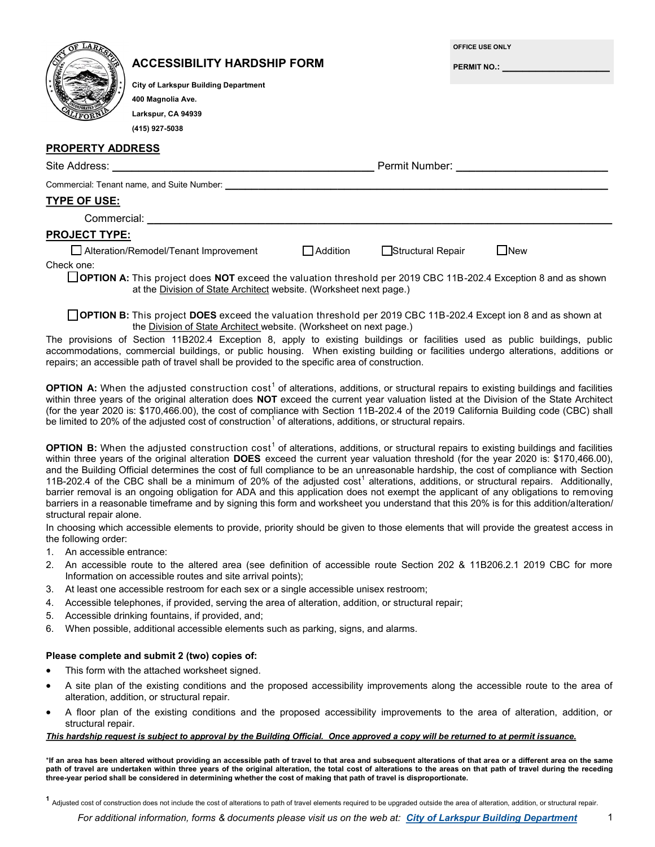|                                                          | <b>ACCESSIBILITY HARDSHIP FORM</b><br><b>City of Larkspur Building Department</b><br>400 Magnolia Ave.<br>Larkspur, CA 94939<br>(415) 927-5038 |                   |  | OFFICE USE ONLY | PERMIT NO.: _________________________ |  |
|----------------------------------------------------------|------------------------------------------------------------------------------------------------------------------------------------------------|-------------------|--|-----------------|---------------------------------------|--|
| <b>PROPERTY ADDRESS</b>                                  |                                                                                                                                                |                   |  |                 |                                       |  |
|                                                          |                                                                                                                                                |                   |  |                 |                                       |  |
|                                                          |                                                                                                                                                |                   |  |                 |                                       |  |
| TYPE OF USE:                                             |                                                                                                                                                |                   |  |                 |                                       |  |
|                                                          | Commercial: New York Products and American Section 1997                                                                                        |                   |  |                 |                                       |  |
| <b>PROJECT TYPE:</b>                                     |                                                                                                                                                |                   |  |                 |                                       |  |
| Alteration/Remodel/Tenant Improvement<br><b>Addition</b> |                                                                                                                                                | Structural Repair |  | <b>New</b>      |                                       |  |
| Check one:                                               |                                                                                                                                                |                   |  |                 |                                       |  |

**OPTION A:** This project does **NOT** exceed the valuation threshold per 2019 CBC 11B-202.4 Exception 8 and as shown at the Division of State Architect website. (Worksheet next page.)

**OPTION B:** This project **DOES** exceed the valuation threshold per 2019 CBC 11B-202.4 Except ion 8 and as shown at the Division of State Architect website. (Worksheet on next page.)

The provisions of Section 11B202.4 Exception 8, apply to existing buildings or facilities used as public buildings, public accommodations, commercial buildings, or public housing. When existing building or facilities undergo alterations, additions or repairs; an accessible path of travel shall be provided to the specific area of construction.

**OPTION A:** When the adjusted construction cost<sup>1</sup> of alterations, additions, or structural repairs to existing buildings and facilities within three years of the original alteration does **NOT** exceed the current year valuation listed at the Division of the State Architect (for the year 2020 is: \$170,466.00), the cost of compliance with Section 11B-202.4 of the 2019 California Building code (CBC) shall be limited to 20% of the adjusted cost of construction<sup>1</sup> of alterations, additions, or structural repairs.

**OPTION B:** When the adjusted construction cost<sup>1</sup> of alterations, additions, or structural repairs to existing buildings and facilities within three years of the original alteration **DOES** exceed the current year valuation threshold (for the year 2020 is: \$170,466.00), and the Building Official determines the cost of full compliance to be an unreasonable hardship, the cost of compliance with Section 11B-202.4 of the CBC shall be a minimum of 20% of the adjusted  $cost<sup>1</sup>$  alterations, additions, or structural repairs. Additionally, barrier removal is an ongoing obligation for ADA and this application does not exempt the applicant of any obligations to removing barriers in a reasonable timeframe and by signing this form and worksheet you understand that this 20% is for this addition/alteration/ structural repair alone.

In choosing which accessible elements to provide, priority should be given to those elements that will provide the greatest access in the following order:

1. An accessible entrance:

**PART 3 SIGNATURE**

- 2. An accessible route to the altered area (see definition of accessible route Section 202 & 11B206.2.1 2019 CBC for more Information on accessible routes and site arrival points);
- 3. At least one accessible restroom for each sex or a single accessible unisex restroom;
- 4. Accessible telephones, if provided, serving the area of alteration, addition, or structural repair;
- 5. Accessible drinking fountains, if provided, and;
- 6. When possible, additional accessible elements such as parking, signs, and alarms.

## **Please complete and submit 2 (two) copies of:**  $\blacksquare$

- *all City, County, and State laws relating to building construction and demolition debris diversion.* This form with the attached worksheet signed.
- A site plan of the existing conditions and the proposed accessibility improvements along the accessible route to the area of alteration, addition, or structural repair.
- $\mathbf S$ ifuctural repair. A floor plan of the existing conditions and the proposed accessibility improvements to the area of alteration, addition, or structural repair.

## *This hardship request is subject to approval by the Building Official. Once approved a copy will be returned to at permit issuance.*

\*If an area has been altered without providing an accessible path of travel to that area and subsequent alterations of that area or a different area on the same **path of travel are undertaken within three years of the original alteration, the total cost of alterations to the areas on that path of travel during the receding three-year period shall be considered in determining whether the cost of making that path of travel is disproportionate.**

**<sup>1</sup>** Adjusted cost of construction does not include the cost of alterations to path of travel elements required to be upgraded outside the area of alteration, addition, or structural repair.

*For additional information, forms & documents please visit us on the web at: City of Larkspur Building Department*

1